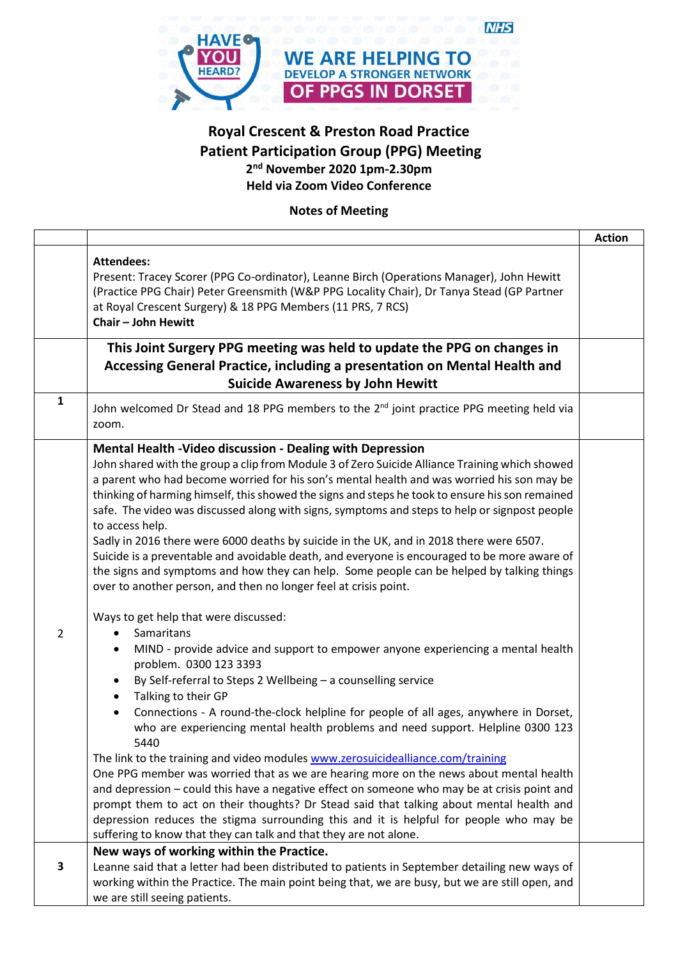

## **Royal Crescent & Preston Road Practice Patient Participation Group (PPG) Meeting 2 nd November 2020 1pm-2.30pm Held via Zoom Video Conference**

**Notes of Meeting**

|                |                                                                                                                                                                                                                                                                                                                                                                                                                                                                                                                                                                                                                                                                                                                                                                                                                                                                                                                                                                                                                                                                                                                                                                                                                                                                                                                                                                                                                                                                                                                                                                                                                                                                                                                                                                                                                                                                | <b>Action</b> |
|----------------|----------------------------------------------------------------------------------------------------------------------------------------------------------------------------------------------------------------------------------------------------------------------------------------------------------------------------------------------------------------------------------------------------------------------------------------------------------------------------------------------------------------------------------------------------------------------------------------------------------------------------------------------------------------------------------------------------------------------------------------------------------------------------------------------------------------------------------------------------------------------------------------------------------------------------------------------------------------------------------------------------------------------------------------------------------------------------------------------------------------------------------------------------------------------------------------------------------------------------------------------------------------------------------------------------------------------------------------------------------------------------------------------------------------------------------------------------------------------------------------------------------------------------------------------------------------------------------------------------------------------------------------------------------------------------------------------------------------------------------------------------------------------------------------------------------------------------------------------------------------|---------------|
|                | <b>Attendees:</b><br>Present: Tracey Scorer (PPG Co-ordinator), Leanne Birch (Operations Manager), John Hewitt<br>(Practice PPG Chair) Peter Greensmith (W&P PPG Locality Chair), Dr Tanya Stead (GP Partner<br>at Royal Crescent Surgery) & 18 PPG Members (11 PRS, 7 RCS)<br>Chair - John Hewitt                                                                                                                                                                                                                                                                                                                                                                                                                                                                                                                                                                                                                                                                                                                                                                                                                                                                                                                                                                                                                                                                                                                                                                                                                                                                                                                                                                                                                                                                                                                                                             |               |
|                | This Joint Surgery PPG meeting was held to update the PPG on changes in<br>Accessing General Practice, including a presentation on Mental Health and<br><b>Suicide Awareness by John Hewitt</b>                                                                                                                                                                                                                                                                                                                                                                                                                                                                                                                                                                                                                                                                                                                                                                                                                                                                                                                                                                                                                                                                                                                                                                                                                                                                                                                                                                                                                                                                                                                                                                                                                                                                |               |
| $\mathbf{1}$   | John welcomed Dr Stead and 18 PPG members to the 2 <sup>nd</sup> joint practice PPG meeting held via<br>zoom.                                                                                                                                                                                                                                                                                                                                                                                                                                                                                                                                                                                                                                                                                                                                                                                                                                                                                                                                                                                                                                                                                                                                                                                                                                                                                                                                                                                                                                                                                                                                                                                                                                                                                                                                                  |               |
| $\overline{2}$ | Mental Health -Video discussion - Dealing with Depression<br>John shared with the group a clip from Module 3 of Zero Suicide Alliance Training which showed<br>a parent who had become worried for his son's mental health and was worried his son may be<br>thinking of harming himself, this showed the signs and steps he took to ensure his son remained<br>safe. The video was discussed along with signs, symptoms and steps to help or signpost people<br>to access help.<br>Sadly in 2016 there were 6000 deaths by suicide in the UK, and in 2018 there were 6507.<br>Suicide is a preventable and avoidable death, and everyone is encouraged to be more aware of<br>the signs and symptoms and how they can help. Some people can be helped by talking things<br>over to another person, and then no longer feel at crisis point.<br>Ways to get help that were discussed:<br>Samaritans<br>MIND - provide advice and support to empower anyone experiencing a mental health<br>problem. 0300 123 3393<br>By Self-referral to Steps 2 Wellbeing - a counselling service<br>Talking to their GP<br>$\bullet$<br>Connections - A round-the-clock helpline for people of all ages, anywhere in Dorset,<br>$\bullet$<br>who are experiencing mental health problems and need support. Helpline 0300 123<br>5440<br>The link to the training and video modules www.zerosuicidealliance.com/training<br>One PPG member was worried that as we are hearing more on the news about mental health<br>and depression - could this have a negative effect on someone who may be at crisis point and<br>prompt them to act on their thoughts? Dr Stead said that talking about mental health and<br>depression reduces the stigma surrounding this and it is helpful for people who may be<br>suffering to know that they can talk and that they are not alone. |               |
| 3              | New ways of working within the Practice.<br>Leanne said that a letter had been distributed to patients in September detailing new ways of<br>working within the Practice. The main point being that, we are busy, but we are still open, and<br>we are still seeing patients.                                                                                                                                                                                                                                                                                                                                                                                                                                                                                                                                                                                                                                                                                                                                                                                                                                                                                                                                                                                                                                                                                                                                                                                                                                                                                                                                                                                                                                                                                                                                                                                  |               |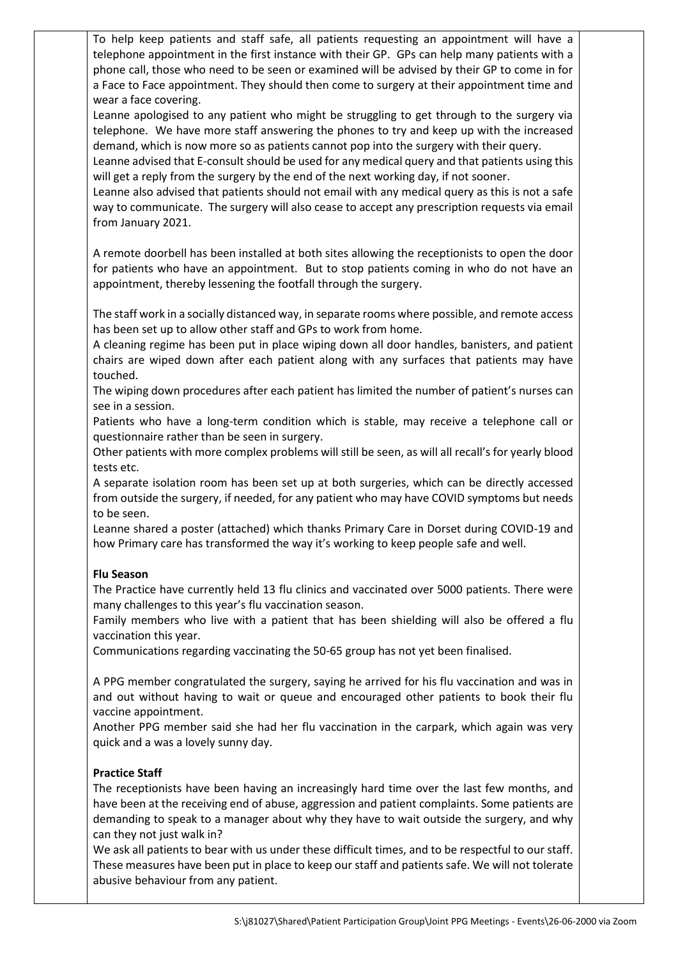To help keep patients and staff safe, all patients requesting an appointment will have a telephone appointment in the first instance with their GP. GPs can help many patients with a phone call, those who need to be seen or examined will be advised by their GP to come in for a Face to Face appointment. They should then come to surgery at their appointment time and wear a face covering.

Leanne apologised to any patient who might be struggling to get through to the surgery via telephone. We have more staff answering the phones to try and keep up with the increased demand, which is now more so as patients cannot pop into the surgery with their query.

Leanne advised that E-consult should be used for any medical query and that patients using this will get a reply from the surgery by the end of the next working day, if not sooner.

Leanne also advised that patients should not email with any medical query as this is not a safe way to communicate. The surgery will also cease to accept any prescription requests via email from January 2021.

A remote doorbell has been installed at both sites allowing the receptionists to open the door for patients who have an appointment. But to stop patients coming in who do not have an appointment, thereby lessening the footfall through the surgery.

The staff work in a socially distanced way, in separate rooms where possible, and remote access has been set up to allow other staff and GPs to work from home.

A cleaning regime has been put in place wiping down all door handles, banisters, and patient chairs are wiped down after each patient along with any surfaces that patients may have touched.

The wiping down procedures after each patient has limited the number of patient's nurses can see in a session.

Patients who have a long-term condition which is stable, may receive a telephone call or questionnaire rather than be seen in surgery.

Other patients with more complex problems will still be seen, as will all recall's for yearly blood tests etc.

A separate isolation room has been set up at both surgeries, which can be directly accessed from outside the surgery, if needed, for any patient who may have COVID symptoms but needs to be seen.

Leanne shared a poster (attached) which thanks Primary Care in Dorset during COVID-19 and how Primary care has transformed the way it's working to keep people safe and well.

## **Flu Season**

The Practice have currently held 13 flu clinics and vaccinated over 5000 patients. There were many challenges to this year's flu vaccination season.

Family members who live with a patient that has been shielding will also be offered a flu vaccination this year.

Communications regarding vaccinating the 50-65 group has not yet been finalised.

A PPG member congratulated the surgery, saying he arrived for his flu vaccination and was in and out without having to wait or queue and encouraged other patients to book their flu vaccine appointment.

Another PPG member said she had her flu vaccination in the carpark, which again was very quick and a was a lovely sunny day.

## **Practice Staff**

The receptionists have been having an increasingly hard time over the last few months, and have been at the receiving end of abuse, aggression and patient complaints. Some patients are demanding to speak to a manager about why they have to wait outside the surgery, and why can they not just walk in?

We ask all patients to bear with us under these difficult times, and to be respectful to our staff. These measures have been put in place to keep our staff and patients safe. We will not tolerate abusive behaviour from any patient.